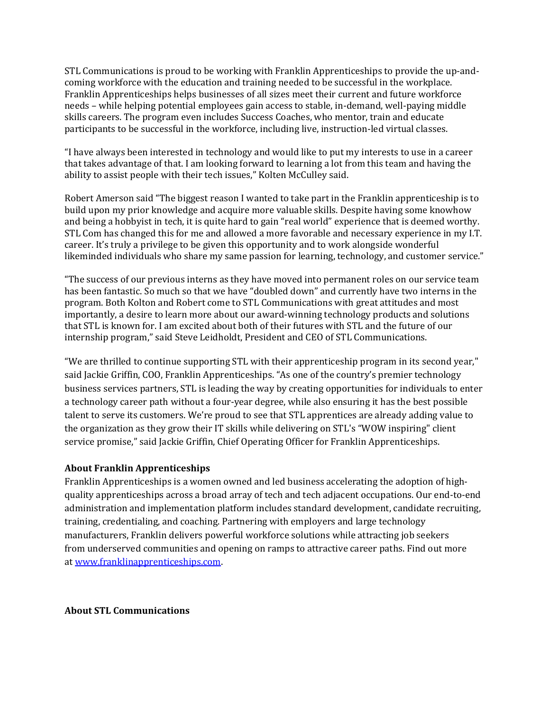STL Communications is proud to be working with Franklin Apprenticeships to provide the up-andcoming workforce with the education and training needed to be successful in the workplace. Franklin Apprenticeships helps businesses of all sizes meet their current and future workforce needs – while helping potential employees gain access to stable, in-demand, well-paying middle skills careers. The program even includes Success Coaches, who mentor, train and educate participants to be successful in the workforce, including live, instruction-led virtual classes.

"I have always been interested in technology and would like to put my interests to use in a career that takes advantage of that. I am looking forward to learning a lot from this team and having the ability to assist people with their tech issues," Kolten McCulley said.

Robert Amerson said "The biggest reason I wanted to take part in the Franklin apprenticeship is to build upon my prior knowledge and acquire more valuable skills. Despite having some knowhow and being a hobbyist in tech, it is quite hard to gain "real world" experience that is deemed worthy. STL Com has changed this for me and allowed a more favorable and necessary experience in my I.T. career. It's truly a privilege to be given this opportunity and to work alongside wonderful likeminded individuals who share my same passion for learning, technology, and customer service."

"The success of our previous interns as they have moved into permanent roles on our service team has been fantastic. So much so that we have "doubled down" and currently have two interns in the program. Both Kolton and Robert come to STL Communications with great attitudes and most importantly, a desire to learn more about our award-winning technology products and solutions that STL is known for. I am excited about both of their futures with STL and the future of our internship program," said Steve Leidholdt, President and CEO of STL Communications.

"We are thrilled to continue supporting STL with their apprenticeship program in its second year," said Jackie Griffin, COO, Franklin Apprenticeships. "As one of the country's premier technology business services partners, STL is leading the way by creating opportunities for individuals to enter a technology career path without a four-year degree, while also ensuring it has the best possible talent to serve its customers. We're proud to see that STL apprentices are already adding value to the organization as they grow their IT skills while delivering on STL's "WOW inspiring" client service promise," said Jackie Griffin, Chief Operating Officer for Franklin Apprenticeships.

## **About Franklin Apprenticeships**

Franklin Apprenticeships is a women owned and led business accelerating the adoption of highquality apprenticeships across a broad array of tech and tech adjacent occupations. Our end-to-end administration and implementation platform includes standard development, candidate recruiting, training, credentialing, and coaching. Partnering with employers and large technology manufacturers, Franklin delivers powerful workforce solutions while attracting job seekers from underserved communities and opening on ramps to attractive career paths. Find out more at [www.franklinapprenticeships.com.](https://link.zixcentral.com/u/ffc7c0b3/4qDDLRLN6xGNHyH7hnsoMg?u=https%3A%2F%2Fnam11.safelinks.protection.outlook.com%2F%3Furl%3Dhttp%253A%252F%252Fwww.franklinapprenticeships.com%252F%26data%3D04%257C01%257Cjgriffin%2540franklinapprenticeships.com%257Cd683313b09584836229f08d92f3215d3%257C138ebee903244b2da151c931401127b2%257C0%257C0%257C637592714441281985%257CUnknown%257CTWFpbGZsb3d8eyJWIjoiMC4wLjAwMDAiLCJQIjoiV2luMzIiLCJBTiI6Ik1haWwiLCJXVCI6Mn0%253D%257C1000%26sdata%3DqtnOpz2WxjnPsHYTYKKhCcb7yUK2fTVxfXiA8N5672E%253D%26reserved%3D0)

## **About STL Communications**